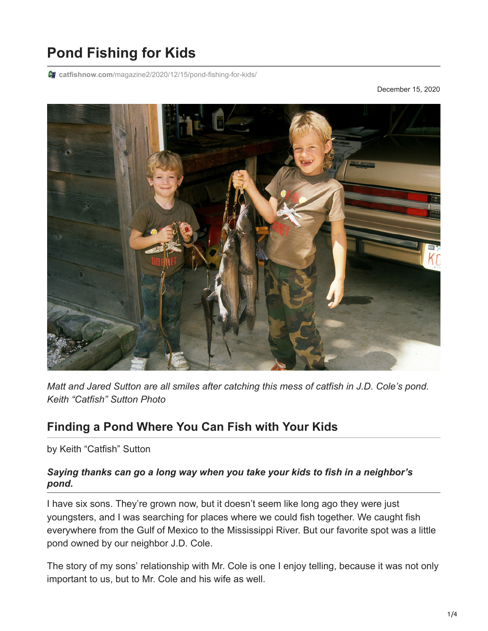## **Pond Fishing for Kids**

**catfishnow.com**[/magazine2/2020/12/15/pond-fishing-for-kids/](https://catfishnow.com/magazine2/2020/12/15/pond-fishing-for-kids/)

December 15, 2020



*Matt and Jared Sutton are all smiles after catching this mess of catfish in J.D. Cole's pond. Keith "Catfish" Sutton Photo*

## **Finding a Pond Where You Can Fish with Your Kids**

by Keith "Catfish" Sutton

## *Saying thanks can go a long way when you take your kids to fish in a neighbor's pond.*

I have six sons. They're grown now, but it doesn't seem like long ago they were just youngsters, and I was searching for places where we could fish together. We caught fish everywhere from the Gulf of Mexico to the Mississippi River. But our favorite spot was a little pond owned by our neighbor J.D. Cole.

The story of my sons' relationship with Mr. Cole is one I enjoy telling, because it was not only important to us, but to Mr. Cole and his wife as well.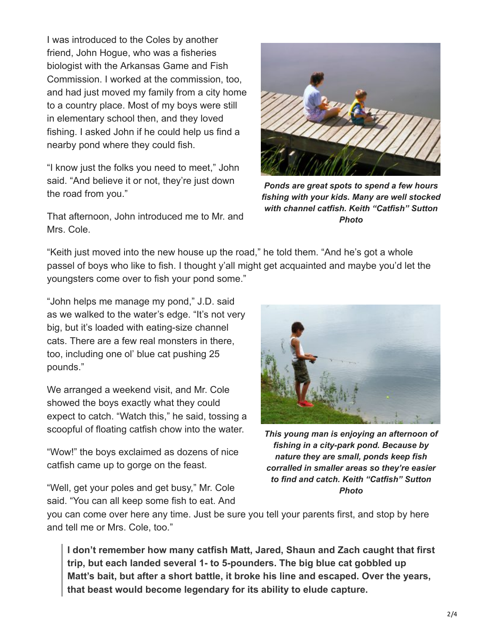I was introduced to the Coles by another friend, John Hogue, who was a fisheries biologist with the Arkansas Game and Fish Commission. I worked at the commission, too, and had just moved my family from a city home to a country place. Most of my boys were still in elementary school then, and they loved fishing. I asked John if he could help us find a nearby pond where they could fish.

"I know just the folks you need to meet," John said. "And believe it or not, they're just down the road from you."

That afternoon, John introduced me to Mr. and Mrs. Cole.



*Ponds are great spots to spend a few hours fishing with your kids. Many are well stocked with channel catfish. Keith "Catfish" Sutton Photo*

"Keith just moved into the new house up the road," he told them. "And he's got a whole passel of boys who like to fish. I thought y'all might get acquainted and maybe you'd let the youngsters come over to fish your pond some."

"John helps me manage my pond," J.D. said as we walked to the water's edge. "It's not very big, but it's loaded with eating-size channel cats. There are a few real monsters in there, too, including one ol' blue cat pushing 25 pounds."

We arranged a weekend visit, and Mr. Cole showed the boys exactly what they could expect to catch. "Watch this," he said, tossing a scoopful of floating catfish chow into the water.

"Wow!" the boys exclaimed as dozens of nice catfish came up to gorge on the feast.

"Well, get your poles and get busy," Mr. Cole said. "You can all keep some fish to eat. And



*This young man is enjoying an afternoon of fishing in a city-park pond. Because by nature they are small, ponds keep fish corralled in smaller areas so they're easier to find and catch. Keith "Catfish" Sutton Photo*

you can come over here any time. Just be sure you tell your parents first, and stop by here and tell me or Mrs. Cole, too."

**I don't remember how many catfish Matt, Jared, Shaun and Zach caught that first trip, but each landed several 1- to 5-pounders. The big blue cat gobbled up Matt's bait, but after a short battle, it broke his line and escaped. Over the years, that beast would become legendary for its ability to elude capture.**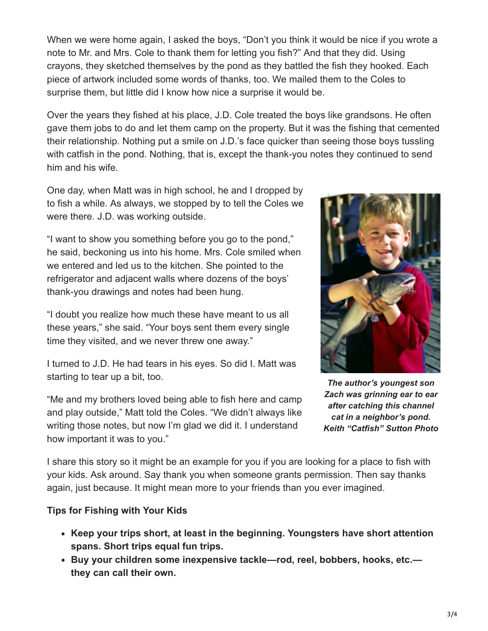When we were home again, I asked the boys, "Don't you think it would be nice if you wrote a note to Mr. and Mrs. Cole to thank them for letting you fish?" And that they did. Using crayons, they sketched themselves by the pond as they battled the fish they hooked. Each piece of artwork included some words of thanks, too. We mailed them to the Coles to surprise them, but little did I know how nice a surprise it would be.

Over the years they fished at his place, J.D. Cole treated the boys like grandsons. He often gave them jobs to do and let them camp on the property. But it was the fishing that cemented their relationship. Nothing put a smile on J.D.'s face quicker than seeing those boys tussling with catfish in the pond. Nothing, that is, except the thank-you notes they continued to send him and his wife.

One day, when Matt was in high school, he and I dropped by to fish a while. As always, we stopped by to tell the Coles we were there. J.D. was working outside.

"I want to show you something before you go to the pond," he said, beckoning us into his home. Mrs. Cole smiled when we entered and led us to the kitchen. She pointed to the refrigerator and adjacent walls where dozens of the boys' thank-you drawings and notes had been hung.

"I doubt you realize how much these have meant to us all these years," she said. "Your boys sent them every single time they visited, and we never threw one away."

I turned to J.D. He had tears in his eyes. So did I. Matt was starting to tear up a bit, too.

"Me and my brothers loved being able to fish here and camp and play outside," Matt told the Coles. "We didn't always like writing those notes, but now I'm glad we did it. I understand how important it was to you."



*The author's youngest son Zach was grinning ear to ear after catching this channel cat in a neighbor's pond. Keith "Catfish" Sutton Photo*

I share this story so it might be an example for you if you are looking for a place to fish with your kids. Ask around. Say thank you when someone grants permission. Then say thanks again, just because. It might mean more to your friends than you ever imagined.

## **Tips for Fishing with Your Kids**

- **Keep your trips short, at least in the beginning. Youngsters have short attention spans. Short trips equal fun trips.**
- **Buy your children some inexpensive tackle—rod, reel, bobbers, hooks, etc. they can call their own.**